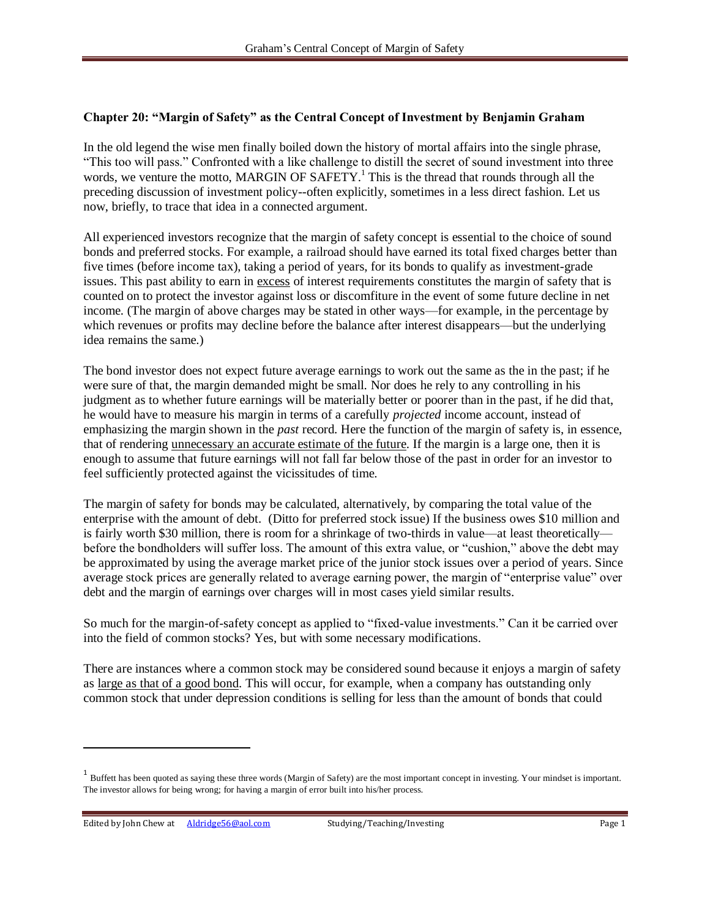#### **Chapter 20: "Margin of Safety" as the Central Concept of Investment by Benjamin Graham**

In the old legend the wise men finally boiled down the history of mortal affairs into the single phrase, "This too will pass." Confronted with a like challenge to distill the secret of sound investment into three words, we venture the motto, MARGIN OF SAFETY.<sup>1</sup> This is the thread that rounds through all the preceding discussion of investment policy--often explicitly, sometimes in a less direct fashion. Let us now, briefly, to trace that idea in a connected argument.

All experienced investors recognize that the margin of safety concept is essential to the choice of sound bonds and preferred stocks. For example, a railroad should have earned its total fixed charges better than five times (before income tax), taking a period of years, for its bonds to qualify as investment-grade issues. This past ability to earn in excess of interest requirements constitutes the margin of safety that is counted on to protect the investor against loss or discomfiture in the event of some future decline in net income. (The margin of above charges may be stated in other ways—for example, in the percentage by which revenues or profits may decline before the balance after interest disappears—but the underlying idea remains the same.)

The bond investor does not expect future average earnings to work out the same as the in the past; if he were sure of that, the margin demanded might be small. Nor does he rely to any controlling in his judgment as to whether future earnings will be materially better or poorer than in the past, if he did that, he would have to measure his margin in terms of a carefully *projected* income account, instead of emphasizing the margin shown in the *past* record. Here the function of the margin of safety is, in essence, that of rendering unnecessary an accurate estimate of the future. If the margin is a large one, then it is enough to assume that future earnings will not fall far below those of the past in order for an investor to feel sufficiently protected against the vicissitudes of time.

The margin of safety for bonds may be calculated, alternatively, by comparing the total value of the enterprise with the amount of debt. (Ditto for preferred stock issue) If the business owes \$10 million and is fairly worth \$30 million, there is room for a shrinkage of two-thirds in value—at least theoretically before the bondholders will suffer loss. The amount of this extra value, or "cushion," above the debt may be approximated by using the average market price of the junior stock issues over a period of years. Since average stock prices are generally related to average earning power, the margin of "enterprise value" over debt and the margin of earnings over charges will in most cases yield similar results.

So much for the margin-of-safety concept as applied to "fixed-value investments." Can it be carried over into the field of common stocks? Yes, but with some necessary modifications.

There are instances where a common stock may be considered sound because it enjoys a margin of safety as large as that of a good bond. This will occur, for example, when a company has outstanding only common stock that under depression conditions is selling for less than the amount of bonds that could

 $1$  Buffett has been quoted as saying these three words (Margin of Safety) are the most important concept in investing. Your mindset is important. The investor allows for being wrong; for having a margin of error built into his/her process.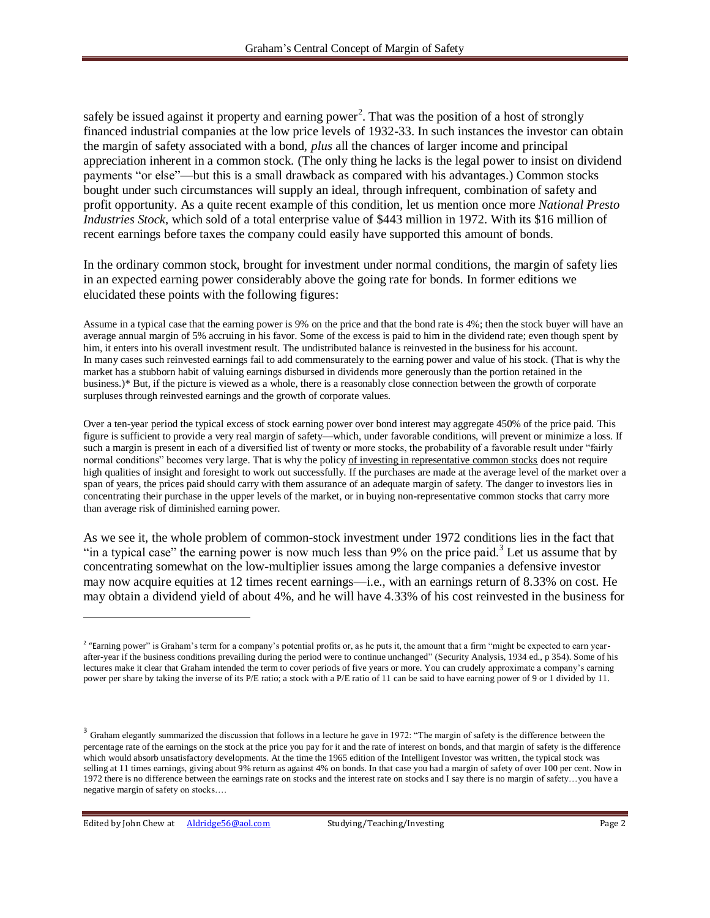safely be issued against it property and earning power<sup>2</sup>. That was the position of a host of strongly financed industrial companies at the low price levels of 1932-33. In such instances the investor can obtain the margin of safety associated with a bond, *plus* all the chances of larger income and principal appreciation inherent in a common stock. (The only thing he lacks is the legal power to insist on dividend payments "or else"—but this is a small drawback as compared with his advantages.) Common stocks bought under such circumstances will supply an ideal, through infrequent, combination of safety and profit opportunity. As a quite recent example of this condition, let us mention once more *National Presto Industries Stock*, which sold of a total enterprise value of \$443 million in 1972. With its \$16 million of recent earnings before taxes the company could easily have supported this amount of bonds.

In the ordinary common stock, brought for investment under normal conditions, the margin of safety lies in an expected earning power considerably above the going rate for bonds. In former editions we elucidated these points with the following figures:

Assume in a typical case that the earning power is 9% on the price and that the bond rate is 4%; then the stock buyer will have an average annual margin of 5% accruing in his favor. Some of the excess is paid to him in the dividend rate; even though spent by him, it enters into his overall investment result. The undistributed balance is reinvested in the business for his account. In many cases such reinvested earnings fail to add commensurately to the earning power and value of his stock. (That is why the market has a stubborn habit of valuing earnings disbursed in dividends more generously than the portion retained in the business.)\* But, if the picture is viewed as a whole, there is a reasonably close connection between the growth of corporate surpluses through reinvested earnings and the growth of corporate values.

Over a ten-year period the typical excess of stock earning power over bond interest may aggregate 450% of the price paid. This figure is sufficient to provide a very real margin of safety—which, under favorable conditions, will prevent or minimize a loss. If such a margin is present in each of a diversified list of twenty or more stocks, the probability of a favorable result under "fairly normal conditions" becomes very large. That is why the policy of investing in representative common stocks does not require high qualities of insight and foresight to work out successfully. If the purchases are made at the average level of the market over a span of years, the prices paid should carry with them assurance of an adequate margin of safety. The danger to investors lies in concentrating their purchase in the upper levels of the market, or in buying non-representative common stocks that carry more than average risk of diminished earning power.

As we see it, the whole problem of common-stock investment under 1972 conditions lies in the fact that "in a typical case" the earning power is now much less than  $9\%$  on the price paid.<sup>3</sup> Let us assume that by concentrating somewhat on the low-multiplier issues among the large companies a defensive investor may now acquire equities at 12 times recent earnings—i.e., with an earnings return of 8.33% on cost. He may obtain a dividend yield of about 4%, and he will have 4.33% of his cost reinvested in the business for

<sup>&</sup>lt;sup>2</sup> "Earning power" is Graham's term for a company's potential profits or, as he puts it, the amount that a firm "might be expected to earn yearafter-year if the business conditions prevailing during the period were to continue unchanged" (Security Analysis, 1934 ed., p 354). Some of his lectures make it clear that Graham intended the term to cover periods of five years or more. You can crudely approximate a company's earning power per share by taking the inverse of its P/E ratio; a stock with a P/E ratio of 11 can be said to have earning power of 9 or 1 divided by 11.

 $3$  Graham elegantly summarized the discussion that follows in a lecture he gave in 1972: "The margin of safety is the difference between the percentage rate of the earnings on the stock at the price you pay for it and the rate of interest on bonds, and that margin of safety is the difference which would absorb unsatisfactory developments. At the time the 1965 edition of the Intelligent Investor was written, the typical stock was selling at 11 times earnings, giving about 9% return as against 4% on bonds. In that case you had a margin of safety of over 100 per cent. Now in 1972 there is no difference between the earnings rate on stocks and the interest rate on stocks and I say there is no margin of safety…you have a negative margin of safety on stocks….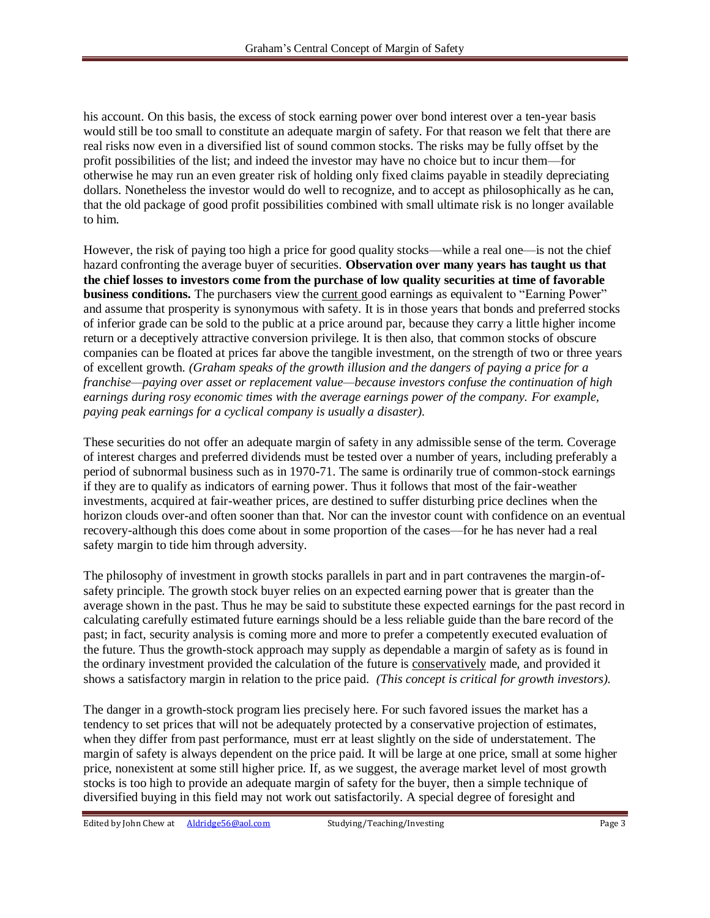his account. On this basis, the excess of stock earning power over bond interest over a ten-year basis would still be too small to constitute an adequate margin of safety. For that reason we felt that there are real risks now even in a diversified list of sound common stocks. The risks may be fully offset by the profit possibilities of the list; and indeed the investor may have no choice but to incur them—for otherwise he may run an even greater risk of holding only fixed claims payable in steadily depreciating dollars. Nonetheless the investor would do well to recognize, and to accept as philosophically as he can, that the old package of good profit possibilities combined with small ultimate risk is no longer available to him.

However, the risk of paying too high a price for good quality stocks—while a real one—is not the chief hazard confronting the average buyer of securities. **Observation over many years has taught us that the chief losses to investors come from the purchase of low quality securities at time of favorable business conditions.** The purchasers view the current good earnings as equivalent to "Earning Power" and assume that prosperity is synonymous with safety. It is in those years that bonds and preferred stocks of inferior grade can be sold to the public at a price around par, because they carry a little higher income return or a deceptively attractive conversion privilege. It is then also, that common stocks of obscure companies can be floated at prices far above the tangible investment, on the strength of two or three years of excellent growth. *(Graham speaks of the growth illusion and the dangers of paying a price for a franchise—paying over asset or replacement value—because investors confuse the continuation of high earnings during rosy economic times with the average earnings power of the company. For example, paying peak earnings for a cyclical company is usually a disaster).*

These securities do not offer an adequate margin of safety in any admissible sense of the term. Coverage of interest charges and preferred dividends must be tested over a number of years, including preferably a period of subnormal business such as in 1970-71. The same is ordinarily true of common-stock earnings if they are to qualify as indicators of earning power. Thus it follows that most of the fair-weather investments, acquired at fair-weather prices, are destined to suffer disturbing price declines when the horizon clouds over-and often sooner than that. Nor can the investor count with confidence on an eventual recovery-although this does come about in some proportion of the cases—for he has never had a real safety margin to tide him through adversity.

The philosophy of investment in growth stocks parallels in part and in part contravenes the margin-ofsafety principle. The growth stock buyer relies on an expected earning power that is greater than the average shown in the past. Thus he may be said to substitute these expected earnings for the past record in calculating carefully estimated future earnings should be a less reliable guide than the bare record of the past; in fact, security analysis is coming more and more to prefer a competently executed evaluation of the future. Thus the growth-stock approach may supply as dependable a margin of safety as is found in the ordinary investment provided the calculation of the future is conservatively made, and provided it shows a satisfactory margin in relation to the price paid. *(This concept is critical for growth investors).*

The danger in a growth-stock program lies precisely here. For such favored issues the market has a tendency to set prices that will not be adequately protected by a conservative projection of estimates, when they differ from past performance, must err at least slightly on the side of understatement. The margin of safety is always dependent on the price paid. It will be large at one price, small at some higher price, nonexistent at some still higher price. If, as we suggest, the average market level of most growth stocks is too high to provide an adequate margin of safety for the buyer, then a simple technique of diversified buying in this field may not work out satisfactorily. A special degree of foresight and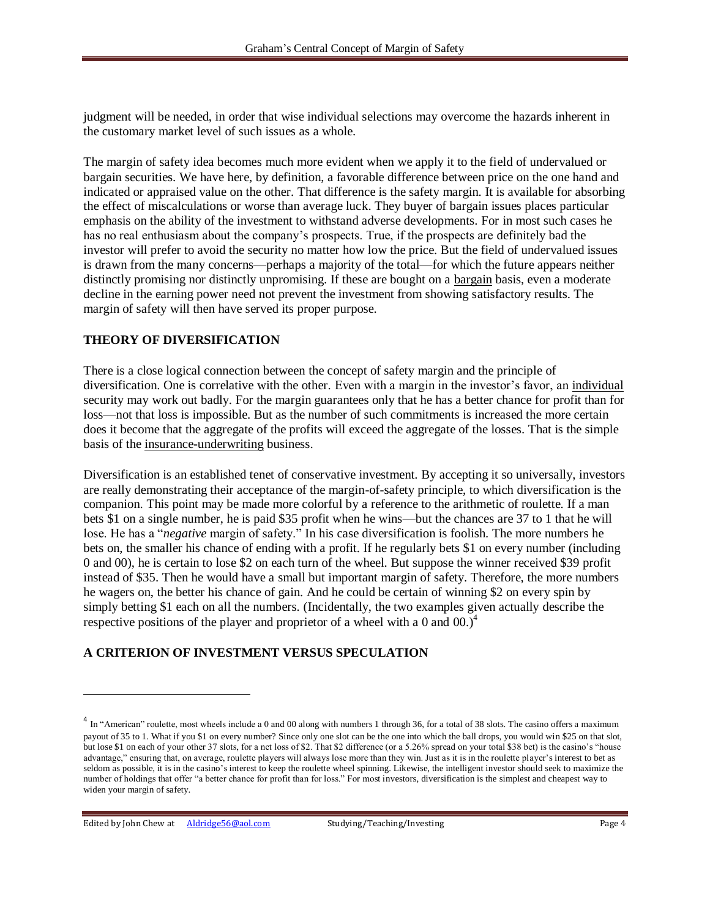judgment will be needed, in order that wise individual selections may overcome the hazards inherent in the customary market level of such issues as a whole.

The margin of safety idea becomes much more evident when we apply it to the field of undervalued or bargain securities. We have here, by definition, a favorable difference between price on the one hand and indicated or appraised value on the other. That difference is the safety margin. It is available for absorbing the effect of miscalculations or worse than average luck. They buyer of bargain issues places particular emphasis on the ability of the investment to withstand adverse developments. For in most such cases he has no real enthusiasm about the company's prospects. True, if the prospects are definitely bad the investor will prefer to avoid the security no matter how low the price. But the field of undervalued issues is drawn from the many concerns—perhaps a majority of the total—for which the future appears neither distinctly promising nor distinctly unpromising. If these are bought on a bargain basis, even a moderate decline in the earning power need not prevent the investment from showing satisfactory results. The margin of safety will then have served its proper purpose.

#### **THEORY OF DIVERSIFICATION**

There is a close logical connection between the concept of safety margin and the principle of diversification. One is correlative with the other. Even with a margin in the investor's favor, an individual security may work out badly. For the margin guarantees only that he has a better chance for profit than for loss—not that loss is impossible. But as the number of such commitments is increased the more certain does it become that the aggregate of the profits will exceed the aggregate of the losses. That is the simple basis of the insurance-underwriting business.

Diversification is an established tenet of conservative investment. By accepting it so universally, investors are really demonstrating their acceptance of the margin-of-safety principle, to which diversification is the companion. This point may be made more colorful by a reference to the arithmetic of roulette. If a man bets \$1 on a single number, he is paid \$35 profit when he wins—but the chances are 37 to 1 that he will lose. He has a "*negative* margin of safety." In his case diversification is foolish. The more numbers he bets on, the smaller his chance of ending with a profit. If he regularly bets \$1 on every number (including 0 and 00), he is certain to lose \$2 on each turn of the wheel. But suppose the winner received \$39 profit instead of \$35. Then he would have a small but important margin of safety. Therefore, the more numbers he wagers on, the better his chance of gain. And he could be certain of winning \$2 on every spin by simply betting \$1 each on all the numbers. (Incidentally, the two examples given actually describe the respective positions of the player and proprietor of a wheel with a 0 and  $00.$ <sup>4</sup>

## **A CRITERION OF INVESTMENT VERSUS SPECULATION**

 $4 \text{ In } \degree$ American" roulette, most wheels include a 0 and 00 along with numbers 1 through 36, for a total of 38 slots. The casino offers a maximum payout of 35 to 1. What if you \$1 on every number? Since only one slot can be the one into which the ball drops, you would win \$25 on that slot, but lose \$1 on each of your other 37 slots, for a net loss of \$2. That \$2 difference (or a 5.26% spread on your total \$38 bet) is the casino's "house advantage," ensuring that, on average, roulette players will always lose more than they win. Just as it is in the roulette player's interest to bet as seldom as possible, it is in the casino's interest to keep the roulette wheel spinning. Likewise, the intelligent investor should seek to maximize the number of holdings that offer "a better chance for profit than for loss." For most investors, diversification is the simplest and cheapest way to widen your margin of safety.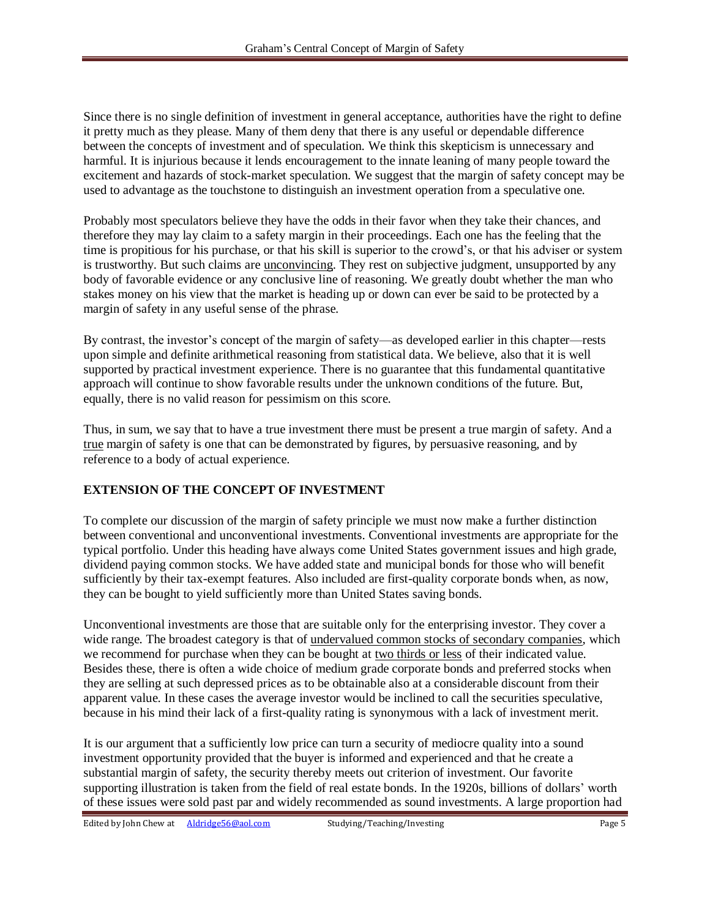Since there is no single definition of investment in general acceptance, authorities have the right to define it pretty much as they please. Many of them deny that there is any useful or dependable difference between the concepts of investment and of speculation. We think this skepticism is unnecessary and harmful. It is injurious because it lends encouragement to the innate leaning of many people toward the excitement and hazards of stock-market speculation. We suggest that the margin of safety concept may be used to advantage as the touchstone to distinguish an investment operation from a speculative one.

Probably most speculators believe they have the odds in their favor when they take their chances, and therefore they may lay claim to a safety margin in their proceedings. Each one has the feeling that the time is propitious for his purchase, or that his skill is superior to the crowd's, or that his adviser or system is trustworthy. But such claims are unconvincing. They rest on subjective judgment, unsupported by any body of favorable evidence or any conclusive line of reasoning. We greatly doubt whether the man who stakes money on his view that the market is heading up or down can ever be said to be protected by a margin of safety in any useful sense of the phrase.

By contrast, the investor's concept of the margin of safety—as developed earlier in this chapter—rests upon simple and definite arithmetical reasoning from statistical data. We believe, also that it is well supported by practical investment experience. There is no guarantee that this fundamental quantitative approach will continue to show favorable results under the unknown conditions of the future. But, equally, there is no valid reason for pessimism on this score.

Thus, in sum, we say that to have a true investment there must be present a true margin of safety. And a true margin of safety is one that can be demonstrated by figures, by persuasive reasoning, and by reference to a body of actual experience.

## **EXTENSION OF THE CONCEPT OF INVESTMENT**

To complete our discussion of the margin of safety principle we must now make a further distinction between conventional and unconventional investments. Conventional investments are appropriate for the typical portfolio. Under this heading have always come United States government issues and high grade, dividend paying common stocks. We have added state and municipal bonds for those who will benefit sufficiently by their tax-exempt features. Also included are first-quality corporate bonds when, as now, they can be bought to yield sufficiently more than United States saving bonds.

Unconventional investments are those that are suitable only for the enterprising investor. They cover a wide range. The broadest category is that of undervalued common stocks of secondary companies, which we recommend for purchase when they can be bought at two thirds or less of their indicated value. Besides these, there is often a wide choice of medium grade corporate bonds and preferred stocks when they are selling at such depressed prices as to be obtainable also at a considerable discount from their apparent value. In these cases the average investor would be inclined to call the securities speculative, because in his mind their lack of a first-quality rating is synonymous with a lack of investment merit.

It is our argument that a sufficiently low price can turn a security of mediocre quality into a sound investment opportunity provided that the buyer is informed and experienced and that he create a substantial margin of safety, the security thereby meets out criterion of investment. Our favorite supporting illustration is taken from the field of real estate bonds. In the 1920s, billions of dollars' worth of these issues were sold past par and widely recommended as sound investments. A large proportion had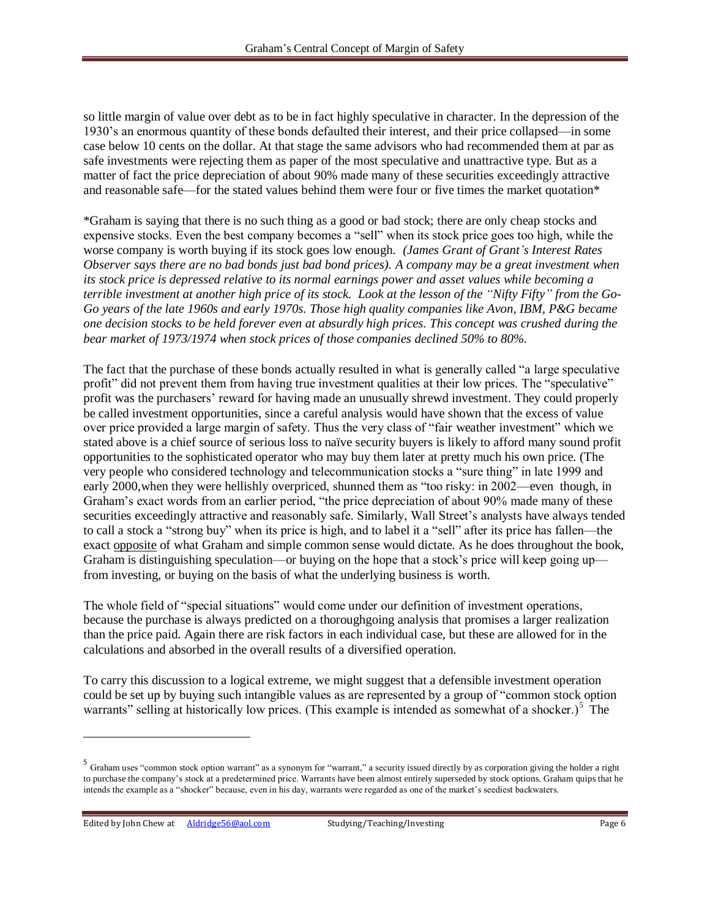so little margin of value over debt as to be in fact highly speculative in character. In the depression of the 1930's an enormous quantity of these bonds defaulted their interest, and their price collapsed—in some case below 10 cents on the dollar. At that stage the same advisors who had recommended them at par as safe investments were rejecting them as paper of the most speculative and unattractive type. But as a matter of fact the price depreciation of about 90% made many of these securities exceedingly attractive and reasonable safe—for the stated values behind them were four or five times the market quotation\*

\*Graham is saying that there is no such thing as a good or bad stock; there are only cheap stocks and expensive stocks. Even the best company becomes a "sell" when its stock price goes too high, while the worse company is worth buying if its stock goes low enough. *(James Grant of Grant's Interest Rates Observer says there are no bad bonds just bad bond prices). A company may be a great investment when its stock price is depressed relative to its normal earnings power and asset values while becoming a* terrible investment at another high price of its stock. Look at the lesson of the "Nifty Fifty" from the Go-Go years of the late 1960s and early 1970s. Those high quality companies like Avon, IBM, P&G became one decision stocks to be held forever even at absurdly high prices. This concept was crushed during the *bear market of 1973/1974 when stock prices of those companies declined 50% to 80%.*

The fact that the purchase of these bonds actually resulted in what is generally called "a large speculative profit" did not prevent them from having true investment qualities at their low prices. The "speculative" profit was the purchasers' reward for having made an unusually shrewd investment. They could properly be called investment opportunities, since a careful analysis would have shown that the excess of value over price provided a large margin of safety. Thus the very class of "fair weather investment" which we stated above is a chief source of serious loss to naïve security buyers is likely to afford many sound profit opportunities to the sophisticated operator who may buy them later at pretty much his own price. (The very people who considered technology and telecommunication stocks a "sure thing" in late 1999 and early 2000,when they were hellishly overpriced, shunned them as "too risky: in 2002—even though, in Graham's exact words from an earlier period, "the price depreciation of about 90% made many of these securities exceedingly attractive and reasonably safe. Similarly, Wall Street's analysts have always tended to call a stock a "strong buy" when its price is high, and to label it a "sell" after its price has fallen—the exact opposite of what Graham and simple common sense would dictate. As he does throughout the book, Graham is distinguishing speculation—or buying on the hope that a stock's price will keep going up from investing, or buying on the basis of what the underlying business is worth.

The whole field of "special situations" would come under our definition of investment operations, because the purchase is always predicted on a thoroughgoing analysis that promises a larger realization than the price paid. Again there are risk factors in each individual case, but these are allowed for in the calculations and absorbed in the overall results of a diversified operation.

To carry this discussion to a logical extreme, we might suggest that a defensible investment operation could be set up by buying such intangible values as are represented by a group of "common stock option warrants" selling at historically low prices. (This example is intended as somewhat of a shocker.)<sup>5</sup> The

<sup>&</sup>lt;sup>5</sup> Graham uses "common stock option warrant" as a synonym for "warrant," a security issued directly by as corporation giving the holder a right to purchase the company's stock at a predetermined price. Warrants have been almost entirely superseded by stock options. Graham quips that he intends the example as a "shocker" because, even in his day, warrants were regarded as one of the market's seediest backwaters.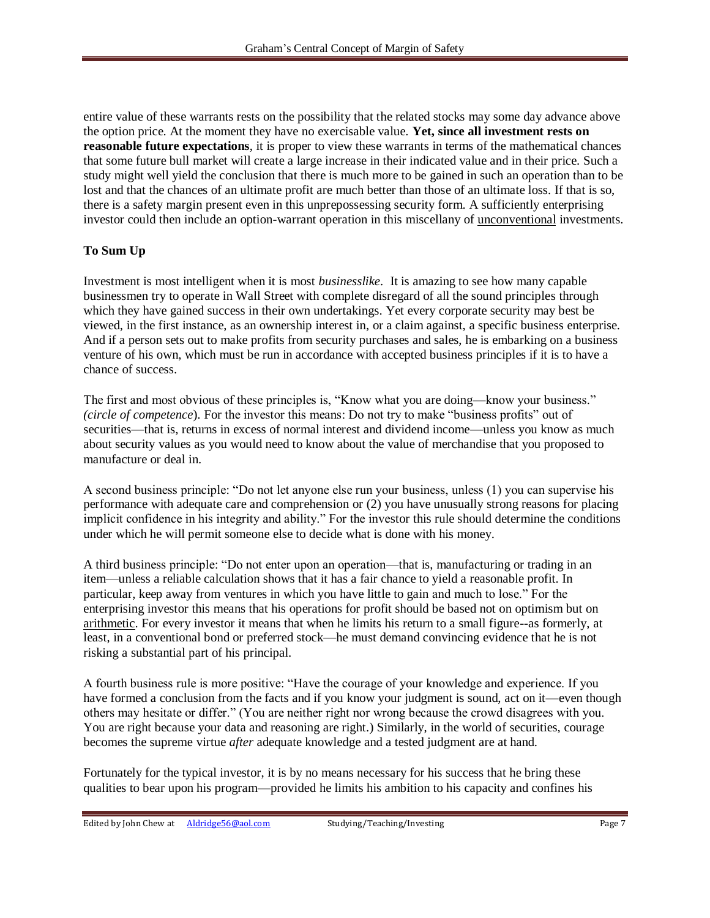entire value of these warrants rests on the possibility that the related stocks may some day advance above the option price. At the moment they have no exercisable value. **Yet, since all investment rests on reasonable future expectations**, it is proper to view these warrants in terms of the mathematical chances that some future bull market will create a large increase in their indicated value and in their price. Such a study might well yield the conclusion that there is much more to be gained in such an operation than to be lost and that the chances of an ultimate profit are much better than those of an ultimate loss. If that is so, there is a safety margin present even in this unprepossessing security form. A sufficiently enterprising investor could then include an option-warrant operation in this miscellany of unconventional investments.

### **To Sum Up**

Investment is most intelligent when it is most *businesslike*. It is amazing to see how many capable businessmen try to operate in Wall Street with complete disregard of all the sound principles through which they have gained success in their own undertakings. Yet every corporate security may best be viewed, in the first instance, as an ownership interest in, or a claim against, a specific business enterprise. And if a person sets out to make profits from security purchases and sales, he is embarking on a business venture of his own, which must be run in accordance with accepted business principles if it is to have a chance of success.

The first and most obvious of these principles is, "Know what you are doing—know your business." *(circle of competence*). For the investor this means: Do not try to make "business profits" out of securities—that is, returns in excess of normal interest and dividend income—unless you know as much about security values as you would need to know about the value of merchandise that you proposed to manufacture or deal in.

A second business principle: "Do not let anyone else run your business, unless (1) you can supervise his performance with adequate care and comprehension or (2) you have unusually strong reasons for placing implicit confidence in his integrity and ability." For the investor this rule should determine the conditions under which he will permit someone else to decide what is done with his money.

A third business principle: "Do not enter upon an operation—that is, manufacturing or trading in an item—unless a reliable calculation shows that it has a fair chance to yield a reasonable profit. In particular, keep away from ventures in which you have little to gain and much to lose." For the enterprising investor this means that his operations for profit should be based not on optimism but on arithmetic. For every investor it means that when he limits his return to a small figure--as formerly, at least, in a conventional bond or preferred stock—he must demand convincing evidence that he is not risking a substantial part of his principal.

A fourth business rule is more positive: "Have the courage of your knowledge and experience. If you have formed a conclusion from the facts and if you know your judgment is sound, act on it—even though others may hesitate or differ." (You are neither right nor wrong because the crowd disagrees with you. You are right because your data and reasoning are right.) Similarly, in the world of securities, courage becomes the supreme virtue *after* adequate knowledge and a tested judgment are at hand.

Fortunately for the typical investor, it is by no means necessary for his success that he bring these qualities to bear upon his program—provided he limits his ambition to his capacity and confines his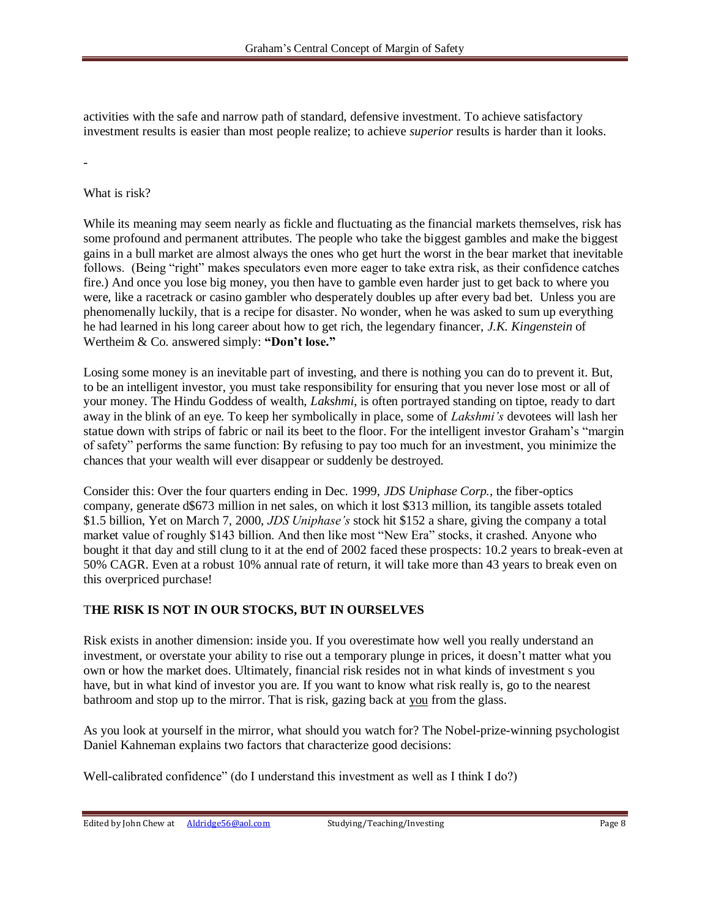activities with the safe and narrow path of standard, defensive investment. To achieve satisfactory investment results is easier than most people realize; to achieve *superior* results is harder than it looks.

-

What is risk?

While its meaning may seem nearly as fickle and fluctuating as the financial markets themselves, risk has some profound and permanent attributes. The people who take the biggest gambles and make the biggest gains in a bull market are almost always the ones who get hurt the worst in the bear market that inevitable follows. (Being "right" makes speculators even more eager to take extra risk, as their confidence catches fire.) And once you lose big money, you then have to gamble even harder just to get back to where you were, like a racetrack or casino gambler who desperately doubles up after every bad bet. Unless you are phenomenally luckily, that is a recipe for disaster. No wonder, when he was asked to sum up everything he had learned in his long career about how to get rich, the legendary financer, *J.K. Kingenstein* of Wertheim & Co. answered simply: **"Don't lose."**

Losing some money is an inevitable part of investing, and there is nothing you can do to prevent it. But, to be an intelligent investor, you must take responsibility for ensuring that you never lose most or all of your money. The Hindu Goddess of wealth, *Lakshmi*, is often portrayed standing on tiptoe, ready to dart away in the blink of an eye. To keep her symbolically in place, some of *Lakshmi's* devotees will lash her statue down with strips of fabric or nail its beet to the floor. For the intelligent investor Graham's "margin of safety" performs the same function: By refusing to pay too much for an investment, you minimize the chances that your wealth will ever disappear or suddenly be destroyed.

Consider this: Over the four quarters ending in Dec. 1999, *JDS Uniphase Corp.,* the fiber-optics company, generate d\$673 million in net sales, on which it lost \$313 million, its tangible assets totaled \$1.5 billion, Yet on March 7, 2000, *JDS Uniphase's* stock hit \$152 a share, giving the company a total market value of roughly \$143 billion. And then like most "New Era" stocks, it crashed. Anyone who bought it that day and still clung to it at the end of 2002 faced these prospects: 10.2 years to break-even at 50% CAGR. Even at a robust 10% annual rate of return, it will take more than 43 years to break even on this overpriced purchase!

### T**HE RISK IS NOT IN OUR STOCKS, BUT IN OURSELVES**

Risk exists in another dimension: inside you. If you overestimate how well you really understand an investment, or overstate your ability to rise out a temporary plunge in prices, it doesn't matter what you own or how the market does. Ultimately, financial risk resides not in what kinds of investment s you have, but in what kind of investor you are. If you want to know what risk really is, go to the nearest bathroom and stop up to the mirror. That is risk, gazing back at you from the glass.

As you look at yourself in the mirror, what should you watch for? The Nobel-prize-winning psychologist Daniel Kahneman explains two factors that characterize good decisions:

Well-calibrated confidence" (do I understand this investment as well as I think I do?)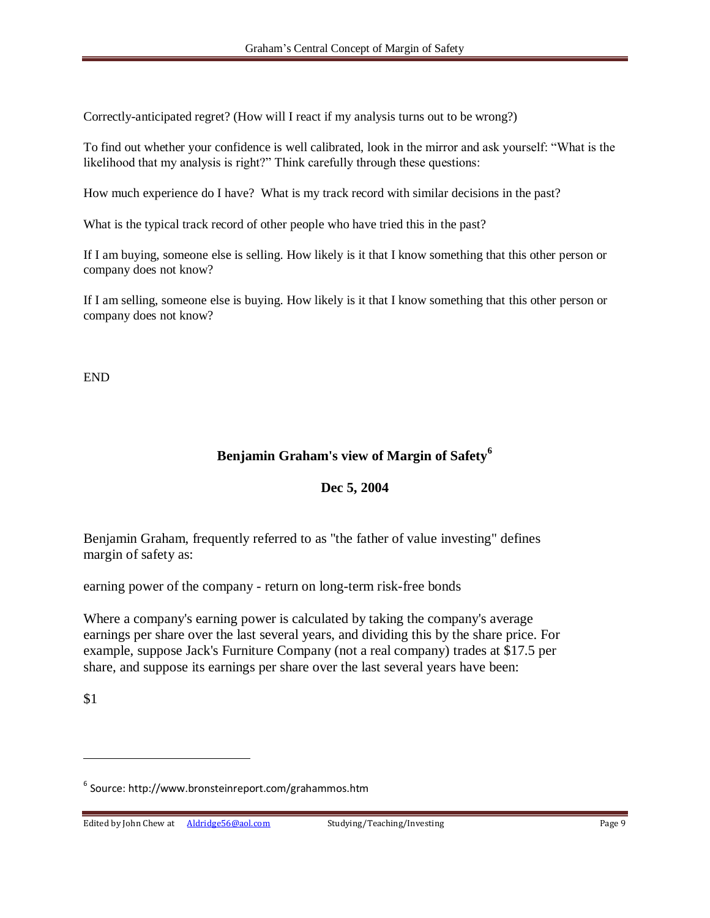Correctly-anticipated regret? (How will I react if my analysis turns out to be wrong?)

To find out whether your confidence is well calibrated, look in the mirror and ask yourself: "What is the likelihood that my analysis is right?" Think carefully through these questions:

How much experience do I have? What is my track record with similar decisions in the past?

What is the typical track record of other people who have tried this in the past?

If I am buying, someone else is selling. How likely is it that I know something that this other person or company does not know?

If I am selling, someone else is buying. How likely is it that I know something that this other person or company does not know?

END

# **Benjamin Graham's view of Margin of Safety<sup>6</sup>**

## **Dec 5, 2004**

Benjamin Graham, frequently referred to as "the father of value investing" defines margin of safety as:

earning power of the company - return on long-term risk-free bonds

Where a company's earning power is calculated by taking the company's average earnings per share over the last several years, and dividing this by the share price. For example, suppose Jack's Furniture Company (not a real company) trades at \$17.5 per share, and suppose its earnings per share over the last several years have been:

\$1

<sup>6</sup> Source: http://www.bronsteinreport.com/grahammos.htm